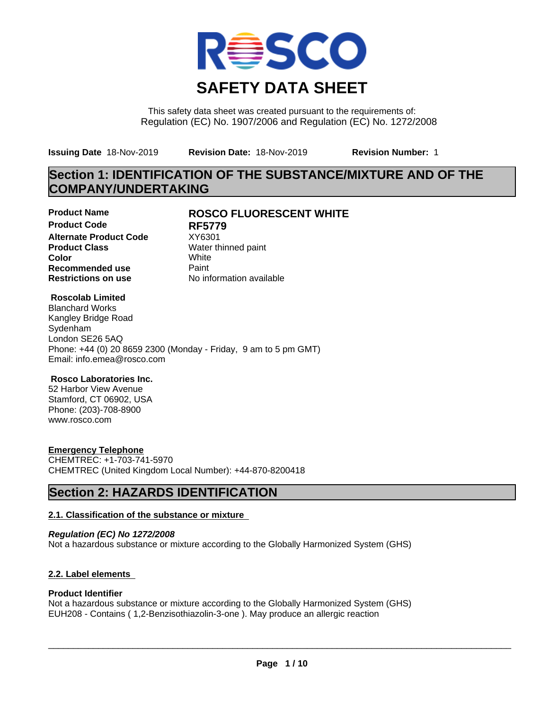

This safety data sheet was created pursuant to the requirements of: Regulation (EC) No. 1907/2006 and Regulation (EC) No. 1272/2008

**Issuing Date** 18-Nov-2019 **Revision Date:** 18-Nov-2019 **Revision Number:** 1

# **Section 1: IDENTIFICATION OF THE SUBSTANCE/MIXTURE AND OF THE COMPANY/UNDERTAKING**

**Product Code RF5779 Alternate Product Code** XY6301<br>**Product Class** Water the **Color** White White **Recommended use** Paint<br> **Restrictions on use** Mo information available **Restrictions on use** 

## **Product Name ROSCO FLUORESCENT WHITE**

**Water thinned paint** 

## **Roscolab Limited**

Blanchard Works Kangley Bridge Road Sydenham London SE26 5AQ Phone: +44 (0) 20 8659 2300 (Monday - Friday, 9 am to 5 pm GMT) Email: info.emea@rosco.com

## **Rosco Laboratories Inc.**

52 Harbor View Avenue Stamford, CT 06902, USA Phone: (203)-708-8900 www.rosco.com

## **Emergency Telephone**

CHEMTREC: +1-703-741-5970 CHEMTREC (United Kingdom Local Number): +44-870-8200418

## **Section 2: HAZARDS IDENTIFICATION**

## **2.1. Classification of the substance or mixture**

*Regulation (EC) No 1272/2008* Not a hazardous substance or mixture according to the Globally Harmonized System (GHS)

## **2.2. Label elements**

## **Product Identifier**

Not a hazardous substance or mixture according to the Globally Harmonized System (GHS) EUH208 - Contains ( 1,2-Benzisothiazolin-3-one ). May produce an allergic reaction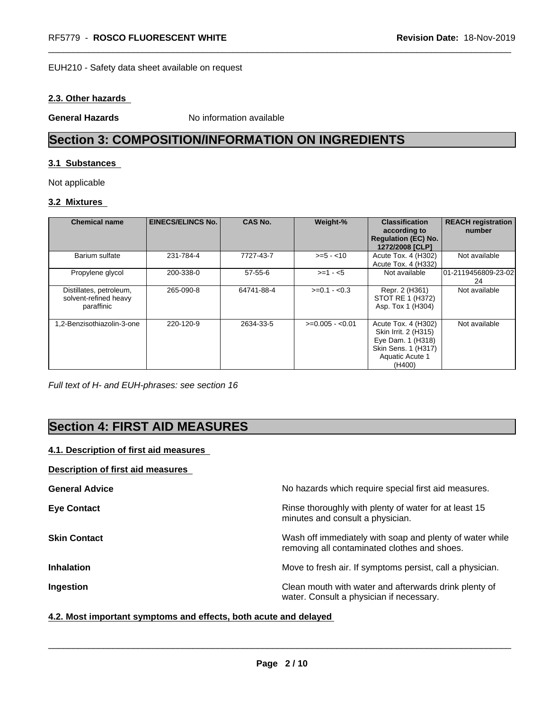### EUH210 - Safety data sheet available on request

## **2.3. Other hazards**

**General Hazards** No information available

# **Section 3: COMPOSITION/INFORMATION ON INGREDIENTS**

## **3.1 Substances**

Not applicable

## **3.2 Mixtures**

| <b>Chemical name</b>                                           | <b>EINECS/ELINCS No.</b> | <b>CAS No.</b> | Weight-%         | <b>Classification</b><br>according to<br><b>Regulation (EC) No.</b><br>1272/2008 [CLP]                               | <b>REACH registration</b><br>number |
|----------------------------------------------------------------|--------------------------|----------------|------------------|----------------------------------------------------------------------------------------------------------------------|-------------------------------------|
| Barium sulfate                                                 | 231-784-4                | 7727-43-7      | $>= 5 - 10$      | Acute Tox. 4 (H302)<br>Acute Tox. 4 (H332)                                                                           | Not available                       |
| Propylene glycol                                               | 200-338-0                | $57-55-6$      | $>= 1 - 5$       | Not available                                                                                                        | 101-2119456809-23-02<br>24          |
| Distillates, petroleum,<br>solvent-refined heavy<br>paraffinic | 265-090-8                | 64741-88-4     | $>=0.1 - 0.3$    | Repr. 2 (H361)<br>STOT RE 1 (H372)<br>Asp. Tox 1 (H304)                                                              | Not available                       |
| 1.2-Benzisothiazolin-3-one                                     | 220-120-9                | 2634-33-5      | $>=0.005 - 0.01$ | Acute Tox. 4 (H302)<br>Skin Irrit. 2 (H315)<br>Eye Dam. 1 (H318)<br>Skin Sens. 1 (H317)<br>Aquatic Acute 1<br>(H400) | Not available                       |

*Full text of H- and EUH-phrases: see section 16*

## **Section 4: FIRST AID MEASURES**

## **4.1. Description of first aid measures**

## **Description of first aid measures**

| <b>General Advice</b> | No hazards which require special first aid measures.                                                     |
|-----------------------|----------------------------------------------------------------------------------------------------------|
| <b>Eye Contact</b>    | Rinse thoroughly with plenty of water for at least 15<br>minutes and consult a physician.                |
| <b>Skin Contact</b>   | Wash off immediately with soap and plenty of water while<br>removing all contaminated clothes and shoes. |
| <b>Inhalation</b>     | Move to fresh air. If symptoms persist, call a physician.                                                |
| Ingestion             | Clean mouth with water and afterwards drink plenty of<br>water. Consult a physician if necessary.        |

## **4.2. Most important symptoms and effects, both acute and delayed**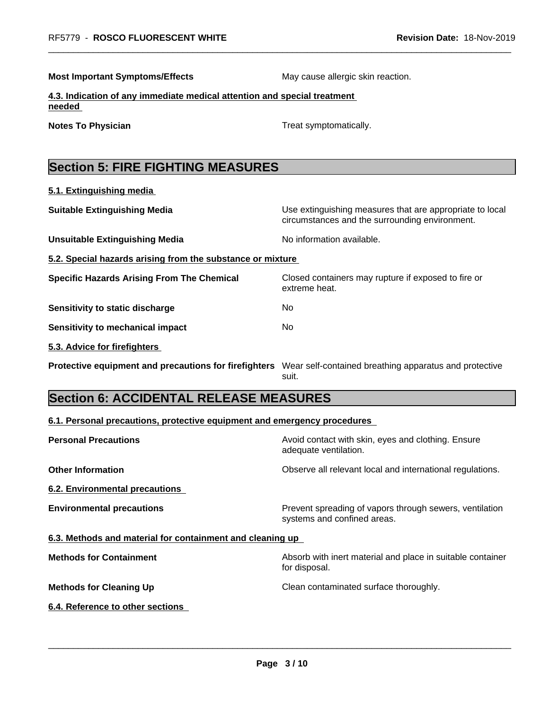**Most Important Symptoms/Effects** May cause allergic skin reaction.

**4.3. Indication of any immediate medical attention and special treatment needed** 

**5.1. Extinguishing media**

**Notes To Physician Treat symptomatically.** 

# **Section 5: FIRE FIGHTING MEASURES**

| <b>Suitable Extinguishing Media</b>                        | Use extinguishing measures that are appropriate to local<br>circumstances and the surrounding environment. |
|------------------------------------------------------------|------------------------------------------------------------------------------------------------------------|
| <b>Unsuitable Extinguishing Media</b>                      | No information available.                                                                                  |
| 5.2. Special hazards arising from the substance or mixture |                                                                                                            |
| <b>Specific Hazards Arising From The Chemical</b>          | Closed containers may rupture if exposed to fire or<br>extreme heat.                                       |
| Sensitivity to static discharge                            | No.                                                                                                        |
| Sensitivity to mechanical impact                           | No.                                                                                                        |
| 5.3. Advice for firefighters                               |                                                                                                            |
| Protective equipment and precautions for firefighters      | Wear self-contained breathing apparatus and protective<br>suit.                                            |

# **Section 6: ACCIDENTAL RELEASE MEASURES**

| 6.1. Personal precautions, protective equipment and emergency procedures |
|--------------------------------------------------------------------------|
|--------------------------------------------------------------------------|

| <b>Personal Precautions</b>                               | Avoid contact with skin, eyes and clothing. Ensure<br>adequate ventilation.            |
|-----------------------------------------------------------|----------------------------------------------------------------------------------------|
| <b>Other Information</b>                                  | Observe all relevant local and international regulations.                              |
| 6.2. Environmental precautions                            |                                                                                        |
| <b>Environmental precautions</b>                          | Prevent spreading of vapors through sewers, ventilation<br>systems and confined areas. |
| 6.3. Methods and material for containment and cleaning up |                                                                                        |
| <b>Methods for Containment</b>                            | Absorb with inert material and place in suitable container<br>for disposal.            |
| <b>Methods for Cleaning Up</b>                            | Clean contaminated surface thoroughly.                                                 |
| 6.4. Reference to other sections                          |                                                                                        |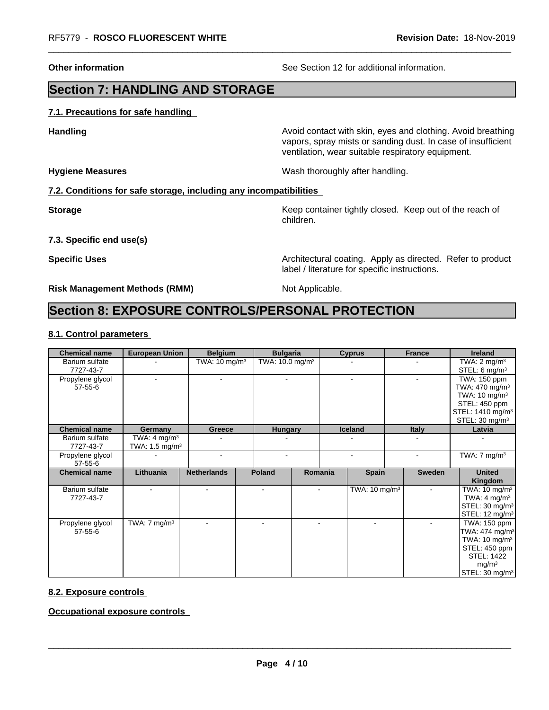**Other information** See Section 12 for additional information.

# **Section 7: HANDLING AND STORAGE**

## **7.1. Precautions for safe handling**

**Handling Handling Avoid contact with skin, eyes and clothing. Avoid breathing H** vapors, spray mists or sanding dust. In case of insufficient ventilation, wear suitable respiratory equipment.

**Hygiene Measures** Mash thoroughly after handling.

## **7.2. Conditions for safe storage, including any incompatibilities**

**Storage Keep container tightly closed. Keep out of the reach of Keep** container tightly closed. Keep out of the reach of children.

**7.3. Specific end use(s)**

**Specific Uses Architectural coating. Apply as directed. Refer to product Specific Uses Architectural coating. Apply as directed. Refer to product** label / literature for specific instructions.

**Risk Management Methods (RMM)** Not Applicable.

## **Section 8: EXPOSURE CONTROLS/PERSONAL PROTECTION**

### **8.1. Control parameters**

| <b>Chemical name</b>              | <b>European Union</b>                                | <b>Belgium</b>           |               | <b>Bulgaria</b>               |         | <b>Cyprus</b>            |  | <b>France</b>  | Ireland                                                                                                                                                          |
|-----------------------------------|------------------------------------------------------|--------------------------|---------------|-------------------------------|---------|--------------------------|--|----------------|------------------------------------------------------------------------------------------------------------------------------------------------------------------|
| Barium sulfate<br>7727-43-7       |                                                      | TWA: $10 \text{ mg/m}^3$ |               | TWA: $10.0$ mg/m <sup>3</sup> |         |                          |  |                | TWA: $2 \text{ mg/m}^3$<br>STEL: 6 mg/m $3$                                                                                                                      |
| Propylene glycol<br>57-55-6       | $\blacksquare$                                       | $\sim$                   |               | $\blacksquare$                |         | $\sim$                   |  |                |                                                                                                                                                                  |
| <b>Chemical name</b>              | Germany                                              | Greece                   |               | <b>Hungary</b>                |         | <b>Iceland</b>           |  | <b>Italy</b>   | Latvia                                                                                                                                                           |
| Barium sulfate<br>7727-43-7       | TWA: $4 \text{ mg/m}^3$<br>TWA: $1.5 \text{ mg/m}^3$ |                          |               |                               |         |                          |  |                |                                                                                                                                                                  |
| Propylene glycol<br>57-55-6       |                                                      | ٠                        |               |                               |         |                          |  |                | TWA: $7 \text{ mg/m}^3$                                                                                                                                          |
| <b>Chemical name</b>              | Lithuania                                            | <b>Netherlands</b>       | <b>Poland</b> |                               | Romania | <b>Spain</b>             |  | <b>Sweden</b>  | <b>United</b><br>Kingdom                                                                                                                                         |
| Barium sulfate<br>7727-43-7       | $\sim$                                               | $\overline{\phantom{a}}$ |               |                               | $\sim$  | TWA: $10 \text{ mg/m}^3$ |  | $\blacksquare$ | TWA: $10 \text{ mg/m}^3$<br>TWA: $4 \text{ mg/m}^3$<br>STEL: 30 mg/m <sup>3</sup><br>STEL: 12 mg/m <sup>3</sup>                                                  |
| Propylene glycol<br>$57 - 55 - 6$ | TWA: $7 \text{ mg/m}^3$                              |                          |               |                               |         |                          |  |                | TWA: 150 ppm<br>TWA: 474 mg/m <sup>3</sup><br>TWA: 10 mg/m <sup>3</sup><br>STEL: 450 ppm<br><b>STEL: 1422</b><br>mg/m <sup>3</sup><br>STEL: 30 mg/m <sup>3</sup> |

## **8.2. Exposure controls**

**Occupational exposure controls**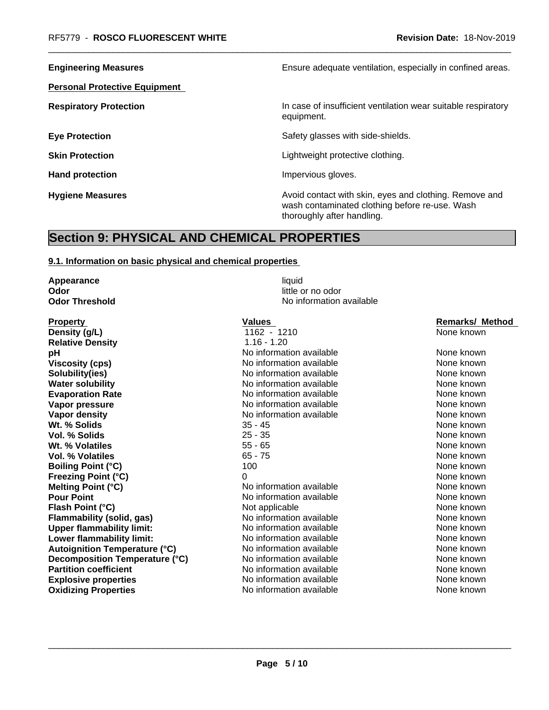**Personal Protective Equipment**

**Engineering Measures Ensure** Ensure adequate ventilation, especially in confined areas.

**Respiratory Protection In case of insufficient ventilation wear suitable respiratory** equipment.

**Eye Protection Exercise Safety glasses with side-shields.** Safety glasses with side-shields.

**Skin Protection Skin Protection Lightweight protective clothing.** 

Hand protection **Impervious** gloves.

**Hygiene Measures Avoid contact with skin, eyes and clothing. Remove and Avoid contact with skin, eyes and clothing. Remove and Avoid contact with skin, eyes and clothing. Remove and** wash contaminated clothing before re-use. Wash thoroughly after handling.

## **Section 9: PHYSICAL AND CHEMICAL PROPERTIES**

## **9.1. Information on basic physical and chemical properties**

**Appearance** liquid **Odor Odor** little or no odor<br> **Odor Threshold Containery of the Containery of the Containery of the Containery of the Containery of the Contain** 

**Property Construction Construction Construction Values According Construction Construction Construction Construction Construction Construction Construction Construction Construction Construction Construction Construction Density (g/L)** 1162 - 1210 None known **Relative Density** 1.16 - 1.20 **pH Notify pH** Note that Meridian available **None known** None known **Viscosity (cps)** Noinformation available None known None known **Solubility(ies)** Noinformation available None known None known **Water solubility** Note 2008 Note 2012 Note 2012 None known None known None known **Evaporation Rate Notifiable** No information available **None known** None known **Vapor pressure** No information available None known None known **Vapor density**<br> **We are None Known**<br> **We are None Known**<br>
35 - 45 <br> **We are None Known**<br>
None known **Wt. % Solids** 35 - 45 None known **Vol. % Solids** 25 - 35 None known 25 - 35 None known 25 - 35 None known 25 - 35 None known 25 - 35 None known 25 - 35 None known 25 - 35 None known 25 - 35 None known 26 None known 26 None known 20 None known 20 None know **Wt. % Volatiles With a Solution Contract Contract Contract Contract Contract Contract Contract Contract Contract Contract Contract Contract Contract Contract Contract Contract Contract Contract Contract Contract Contrac Vol. % Volatiles** 65 - 75 None known **None known Boiling Point (°C)** 100 100 None known **Freezing Point (°C)** 0 None known **Melting Point (°C)** Noinformation available None known **Pour Point** No information available None known None known **Flash Point (°C) Not applicable None known None known Flammability (solid, gas)** No information available None Known None known **Upper flammability limit:** No information available None known None known **Lower flammability limit:** No information available None Known None known **Autoignition Temperature (°C)** No information available None Known None known **Decomposition Temperature (°C)** No information available None None known **Partition coefficient No information available** None known **Explosive properties** Note 2012 **No information available** None known **Oxidizing Properties No information available** None known

**No information available**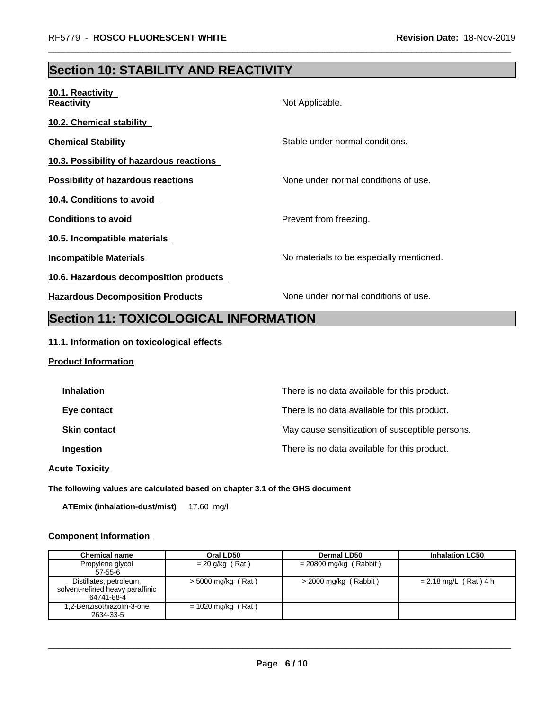# **Section 10: STABILITY AND REACTIVITY**

| 10.1. Reactivity<br><b>Reactivity</b>     | Not Applicable.                          |
|-------------------------------------------|------------------------------------------|
| <b>10.2. Chemical stability</b>           |                                          |
| <b>Chemical Stability</b>                 | Stable under normal conditions.          |
| 10.3. Possibility of hazardous reactions  |                                          |
| <b>Possibility of hazardous reactions</b> | None under normal conditions of use.     |
| 10.4. Conditions to avoid                 |                                          |
| <b>Conditions to avoid</b>                | Prevent from freezing.                   |
| 10.5. Incompatible materials              |                                          |
| <b>Incompatible Materials</b>             | No materials to be especially mentioned. |
| 10.6. Hazardous decomposition products    |                                          |
| <b>Hazardous Decomposition Products</b>   | None under normal conditions of use.     |

# **Section 11: TOXICOLOGICAL INFORMATION**

## **11.1. Information on toxicological effects**

## **Product Information**

| <b>Inhalation</b>   | There is no data available for this product.    |
|---------------------|-------------------------------------------------|
| Eye contact         | There is no data available for this product.    |
| <b>Skin contact</b> | May cause sensitization of susceptible persons. |
| Ingestion           | There is no data available for this product.    |
|                     |                                                 |

**Acute Toxicity** 

**The following values are calculated based on chapter 3.1 of the GHS document**

**ATEmix (inhalation-dust/mist)** 17.60 mg/l

## **Component Information**

| <b>Chemical name</b>                                                      | Oral LD50            | <b>Dermal LD50</b>       | <b>Inhalation LC50</b>  |
|---------------------------------------------------------------------------|----------------------|--------------------------|-------------------------|
| Propylene glycol<br>$57 - 55 - 6$                                         | $= 20$ g/kg (Rat)    | $= 20800$ mg/kg (Rabbit) |                         |
| Distillates, petroleum,<br>solvent-refined heavy paraffinic<br>64741-88-4 | $>$ 5000 mg/kg (Rat) | $>$ 2000 mg/kg (Rabbit)  | $= 2.18$ mg/L (Rat) 4 h |
| 1.2-Benzisothiazolin-3-one<br>2634-33-5                                   | $= 1020$ mg/kg (Rat) |                          |                         |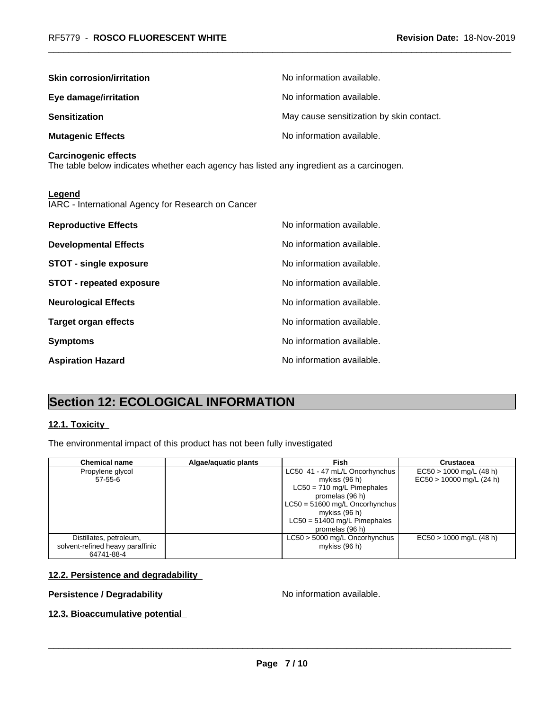| <b>Skin corrosion/irritation</b>                                                                                        | No information available.                |
|-------------------------------------------------------------------------------------------------------------------------|------------------------------------------|
| Eye damage/irritation                                                                                                   | No information available.                |
| <b>Sensitization</b>                                                                                                    | May cause sensitization by skin contact. |
| <b>Mutagenic Effects</b>                                                                                                | No information available.                |
| <b>Carcinogenic effects</b><br>The table below indicates whether each agency has listed any ingredient as a carcinogen. |                                          |
| Legend<br>IARC - International Agency for Research on Cancer                                                            |                                          |
| <b>Reproductive Effects</b>                                                                                             | No information available.                |
| <b>Developmental Effects</b>                                                                                            | No information available.                |
| <b>STOT - single exposure</b>                                                                                           | No information available.                |
| <b>STOT - repeated exposure</b>                                                                                         | No information available.                |
| <b>Neurological Effects</b>                                                                                             | No information available.                |
| <b>Target organ effects</b>                                                                                             | No information available.                |
| <b>Symptoms</b>                                                                                                         | No information available.                |
| <b>Aspiration Hazard</b>                                                                                                | No information available.                |

# **Section 12: ECOLOGICAL INFORMATION**

## **12.1. Toxicity**

The environmental impact of this product has not been fully investigated

| <b>Chemical name</b>                                                      | Algae/aquatic plants | Fish                                                                                                                                                                                                       | Crustacea                                               |
|---------------------------------------------------------------------------|----------------------|------------------------------------------------------------------------------------------------------------------------------------------------------------------------------------------------------------|---------------------------------------------------------|
| Propylene glycol<br>57-55-6                                               |                      | LC50 41 - 47 mL/L Oncorhynchus<br>mykiss (96 h)<br>$LC50 = 710$ mg/L Pimephales<br>promelas (96 h)<br>LC50 = 51600 mg/L Oncorhynchus<br>mykiss (96 h)<br>$LC50 = 51400$ mg/L Pimephales<br>promelas (96 h) | $EC50 > 1000$ mg/L (48 h)<br>$EC50 > 10000$ mg/L (24 h) |
| Distillates, petroleum,<br>solvent-refined heavy paraffinic<br>64741-88-4 |                      | LC50 > 5000 mg/L Oncorhynchus<br>mykiss (96 h)                                                                                                                                                             | $EC50 > 1000$ mg/L (48 h)                               |

## **12.2. Persistence and degradability**

## **Persistence / Degradability No information available.**

 $\overline{\phantom{a}}$  ,  $\overline{\phantom{a}}$  ,  $\overline{\phantom{a}}$  ,  $\overline{\phantom{a}}$  ,  $\overline{\phantom{a}}$  ,  $\overline{\phantom{a}}$  ,  $\overline{\phantom{a}}$  ,  $\overline{\phantom{a}}$  ,  $\overline{\phantom{a}}$  ,  $\overline{\phantom{a}}$  ,  $\overline{\phantom{a}}$  ,  $\overline{\phantom{a}}$  ,  $\overline{\phantom{a}}$  ,  $\overline{\phantom{a}}$  ,  $\overline{\phantom{a}}$  ,  $\overline{\phantom{a}}$ 

## **12.3. Bioaccumulative potential**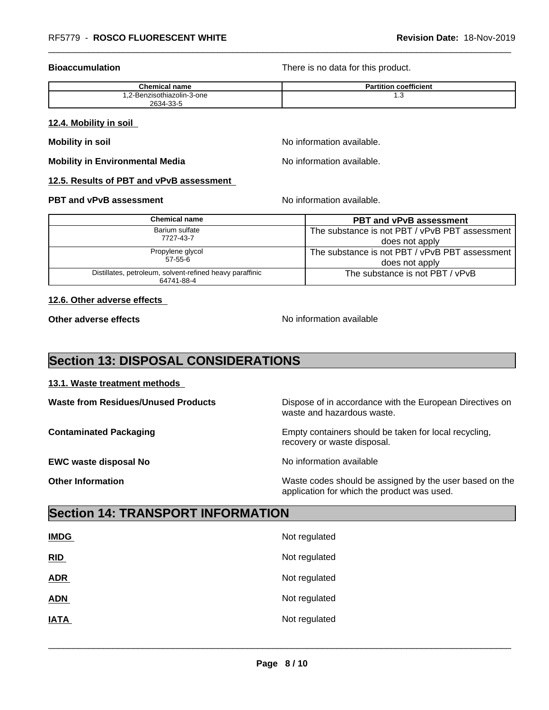**Bioaccumulation Bioaccumulation Bioaccumulation There is no data for this product.** 

| Chemic.<br>cal name             | $- - -$<br>coefficient<br>artitior |
|---------------------------------|------------------------------------|
| -Benzisothiazolin-3-one<br>"-∠. | ں. ا                               |
| 2634-33-5                       |                                    |

### **12.4. Mobility in soil**

**Mobility in soil Mobility in soil Mobility in soil** 

**Mobility in Environmental Media** Noinformation available.

## **12.5. Results of PBT and vPvB assessment**

## **PBT and vPvB assessment**  $\blacksquare$  No information available.

|  | Chemical name                                                          | <b>PBT and vPvB assessment</b>                 |
|--|------------------------------------------------------------------------|------------------------------------------------|
|  | Barium sulfate<br>7727-43-7                                            | The substance is not PBT / vPvB PBT assessment |
|  |                                                                        | does not apply                                 |
|  | Propylene glycol<br>$57 - 55 - 6$                                      | The substance is not PBT / vPvB PBT assessment |
|  |                                                                        | does not apply                                 |
|  | Distillates, petroleum, solvent-refined heavy paraffinic<br>64741-88-4 | The substance is not PBT / vPvB                |

## **12.6. Other adverse effects**

**Other adverse effects** No information available

## **Section 13: DISPOSAL CONSIDERATIONS**

## **13.1. Waste treatment methods**

**Waste from Residues/Unused Products** Dispose of in accordance with the European Directives on waste and hazardous waste. **Contaminated Packaging <b>Empty Containers** should be taken for local recycling, recovery or waste disposal. **EWC waste disposal No** Noinformation available

**Other Information** Waste codes should be assigned by the user based on the application for which the product was used.

## **Section 14: TRANSPORT INFORMATION**

| <b>IMDG</b> | Not regulated |
|-------------|---------------|
| RID         | Not regulated |
| <b>ADR</b>  | Not regulated |
| <b>ADN</b>  | Not regulated |
| <b>IATA</b> | Not regulated |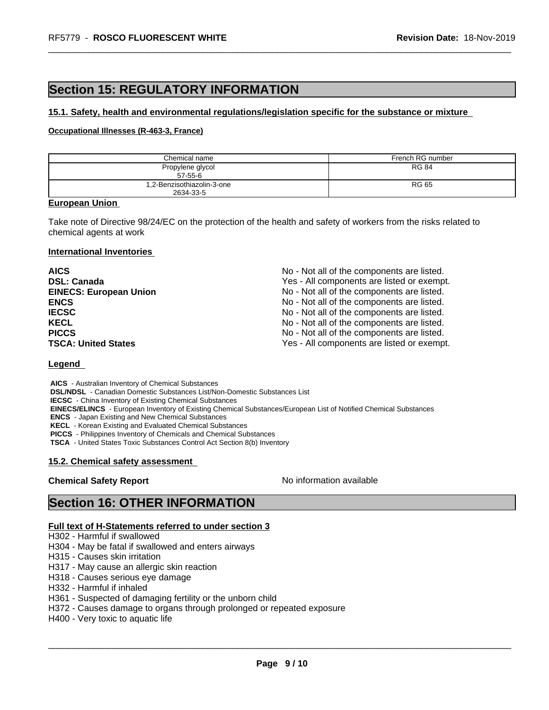# **Section 15: REGULATORY INFORMATION**

## **15.1. Safety, health and environmental regulations/legislation specific for the substance or mixture**

## **Occupational Illnesses (R-463-3, France)**

| Chemical name                           | French RG number |
|-----------------------------------------|------------------|
| Propylene glycol<br>$57 - 55 - 6$       | RG 84            |
| 1,2-Benzisothiazolin-3-one<br>2634-33-5 | <b>RG 65</b>     |

### **European Union**

Take note of Directive 98/24/EC on the protection of the health and safety of workers from the risks related to chemical agents at work

### **International Inventories**

| <b>AICS</b>                   | No - Not all of the components are listed. |
|-------------------------------|--------------------------------------------|
| <b>DSL: Canada</b>            | Yes - All components are listed or exempt. |
| <b>EINECS: European Union</b> | No - Not all of the components are listed. |
| <b>ENCS</b>                   | No - Not all of the components are listed. |
| <b>IECSC</b>                  | No - Not all of the components are listed. |
| <b>KECL</b>                   | No - Not all of the components are listed. |
| <b>PICCS</b>                  | No - Not all of the components are listed. |
| <b>TSCA: United States</b>    | Yes - All components are listed or exempt. |

## **Legend**

 **AICS** - Australian Inventory of Chemical Substances  **DSL/NDSL** - Canadian Domestic Substances List/Non-Domestic Substances List  **IECSC** - China Inventory of Existing Chemical Substances  **EINECS/ELINCS** - European Inventory of Existing Chemical Substances/European List of Notified Chemical Substances  **ENCS** - Japan Existing and New Chemical Substances  **KECL** - Korean Existing and Evaluated Chemical Substances  **PICCS** - Philippines Inventory of Chemicals and Chemical Substances

 **TSCA** - United States Toxic Substances Control Act Section 8(b) Inventory

### **15.2. Chemical safety assessment**

**Chemical Safety Report** No information available

 $\overline{\phantom{a}}$  ,  $\overline{\phantom{a}}$  ,  $\overline{\phantom{a}}$  ,  $\overline{\phantom{a}}$  ,  $\overline{\phantom{a}}$  ,  $\overline{\phantom{a}}$  ,  $\overline{\phantom{a}}$  ,  $\overline{\phantom{a}}$  ,  $\overline{\phantom{a}}$  ,  $\overline{\phantom{a}}$  ,  $\overline{\phantom{a}}$  ,  $\overline{\phantom{a}}$  ,  $\overline{\phantom{a}}$  ,  $\overline{\phantom{a}}$  ,  $\overline{\phantom{a}}$  ,  $\overline{\phantom{a}}$ 

## **Section 16: OTHER INFORMATION**

## **Full text of H-Statements referred to under section 3**

- H302 Harmful if swallowed
- H304 May be fatal if swallowed and enters airways
- H315 Causes skin irritation
- H317 May cause an allergic skin reaction
- H318 Causes serious eye damage
- H332 Harmful if inhaled
- H361 Suspected of damaging fertility or the unborn child
- H372 Causes damage to organs through prolonged or repeated exposure
- H400 Very toxic to aquatic life